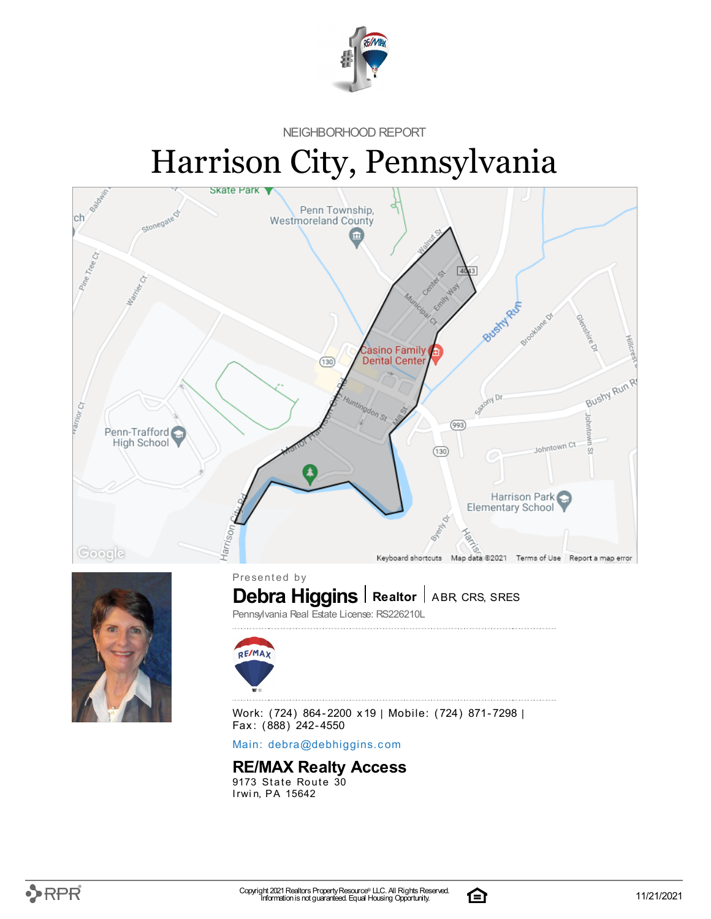

NEIGHBORHOOD REPORT

# Harrison City, Pennsylvania





 $\textbf{Debra Higgs}$  **Realtor** | ABR, CRS, SRES

Pennsylvania Real Estate License: RS226210L



Work: (724) 864-2200 x19 | Mobile: (724) 871-7298 | Fax: (888) 242-4550

Main: debra[@](mailto:debra@debhiggins.com)debhiggins.com

### **RE/MAX Realty Access**

 $9173$  State Route  $30$ Irwin, PA 15642

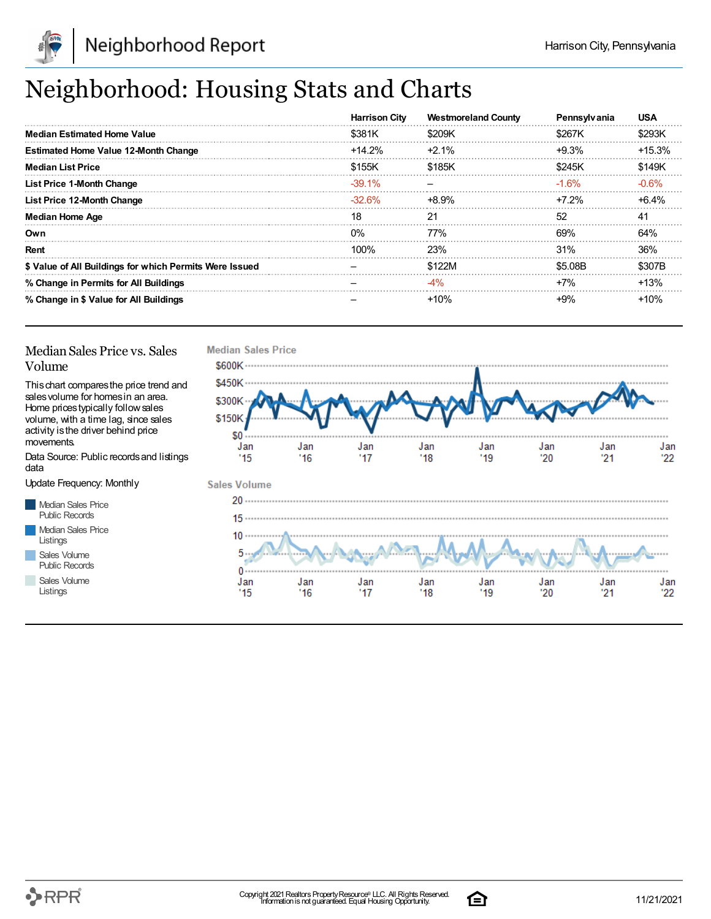

## Neighborhood: Housing Stats and Charts

|                                                         | <b>Harrison City</b> | <b>Westmoreland County</b> | Pennsylvania | <b>USA</b> |
|---------------------------------------------------------|----------------------|----------------------------|--------------|------------|
| <b>Median Estimated Home Value</b>                      | \$381K               | \$209K                     | \$267K       | \$293K     |
| <b>Estimated Home Value 12-Month Change</b>             | $+14.2%$             | $+2.1\%$                   | $+9.3%$      | $+15.3%$   |
| <b>Median List Price</b>                                | \$155K               | \$185K                     | \$245K       | \$149K     |
| <b>List Price 1-Month Change</b>                        | $-39.1\%$            |                            | $-1.6\%$     | $-0.6%$    |
| List Price 12-Month Change                              | $-32.6\%$            | +8.9%                      | $+7.2\%$     | $+6.4%$    |
| <b>Median Home Age</b>                                  | 18                   | 21                         | 52           | 41         |
| Own                                                     | $0\%$                | 77%                        | 69%          | 64%        |
| Rent                                                    | $100\%$              | 23%                        | 31%          | 36%        |
| \$ Value of All Buildings for which Permits Were Issued |                      | \$122M                     | \$5.08B      | \$307B     |
| % Change in Permits for All Buildings                   |                      | $-4%$                      | $+7%$        | $+13%$     |
| % Change in \$ Value for All Buildings                  |                      | $+10%$                     | +9%          | $+10%$     |

### Median Sales Price vs. Sales Volume

Thischart comparesthe price trend and salesvolume for homesin an area. Home pricestypically followsales volume, with a time lag, since sales activity is the driver behind price movements.

Data Source: Public recordsand listings data

Update Frequency: Monthly

Median Sales Price Public Records Median Sales Price Listings Sales Volume Public Records

Sales Volume

Listings



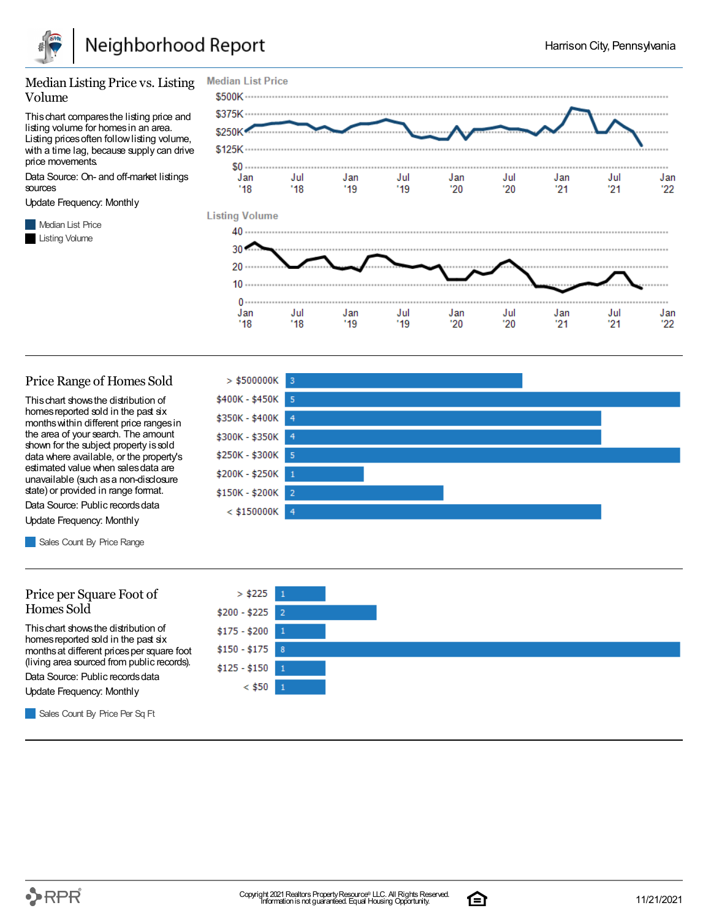

#### Median Listing Price vs. Listing Volume

Thischart comparesthe listing price and listing volume for homesin an area. Listing prices often follow listing volume, with a time lag, because supply can drive price movements.

Data Source: On- and off-market listings sources

Update Frequency: Monthly

**Median List Price** Listing Volume



#### Price Range of Homes Sold

Thischart showsthe distribution of homes reported sold in the past six monthswithin different price rangesin the area of your search. The amount shown for the subject property issold data where available, or the property's estimated value when salesdata are unavailable (such asa non-disclosure state) or provided in range format.

Data Source: Public records data Update Frequency: Monthly

Sales Count By Price Range

#### Price per Square Foot of Homes Sold

Thischart showsthe distribution of homes reported sold in the past six monthsat different pricesper square foot (living area sourced from public records).

Data Source: Public records data

Update Frequency: Monthly

Sales Count By Price Per Sq Ft





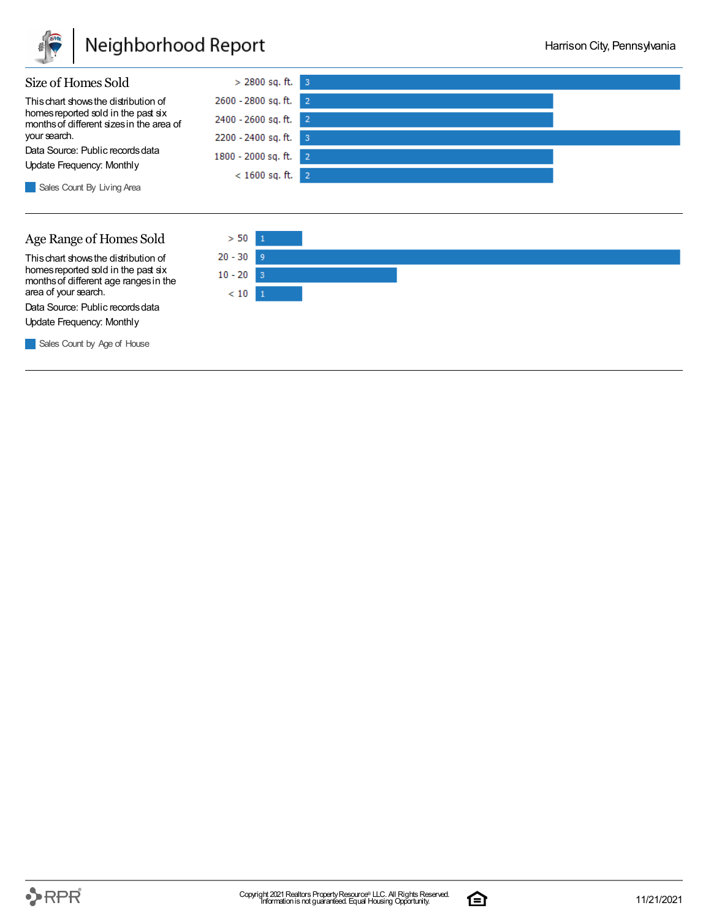

### Neighborhood Report





Thischart showsthe distribution of homes reported sold in the past six monthsof different age rangesin the area of your search.

Data Source: Public records data Update Frequency: Monthly

Sales Count by Age of House



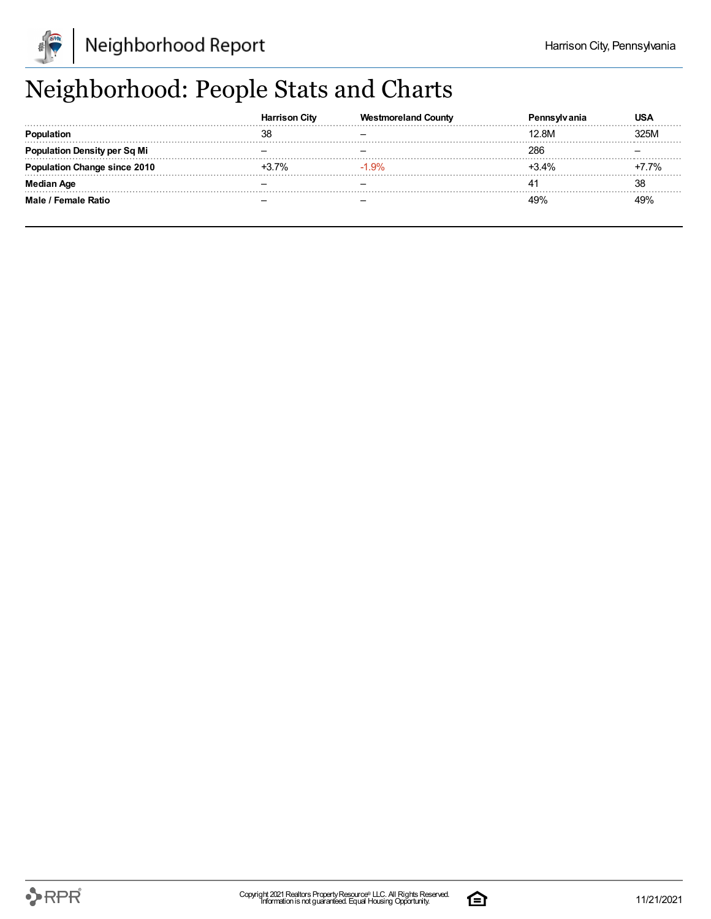

## Neighborhood: People Stats and Charts

|                                  | <b>Harrison City</b> | <b>Westmoreland County</b> | 'anıa   | USA         |
|----------------------------------|----------------------|----------------------------|---------|-------------|
|                                  | 38                   |                            | 12.8M   | <b>325M</b> |
| <b>Ilation Density per Sq Mi</b> |                      |                            | 286     |             |
| tion Change since 2010           | 7%                   | $-1.9%$                    | $3.4\%$ | 7%          |
| <b>Median Age</b>                |                      |                            |         | 38          |
| Male / Female Ratio              |                      |                            | 19%     |             |

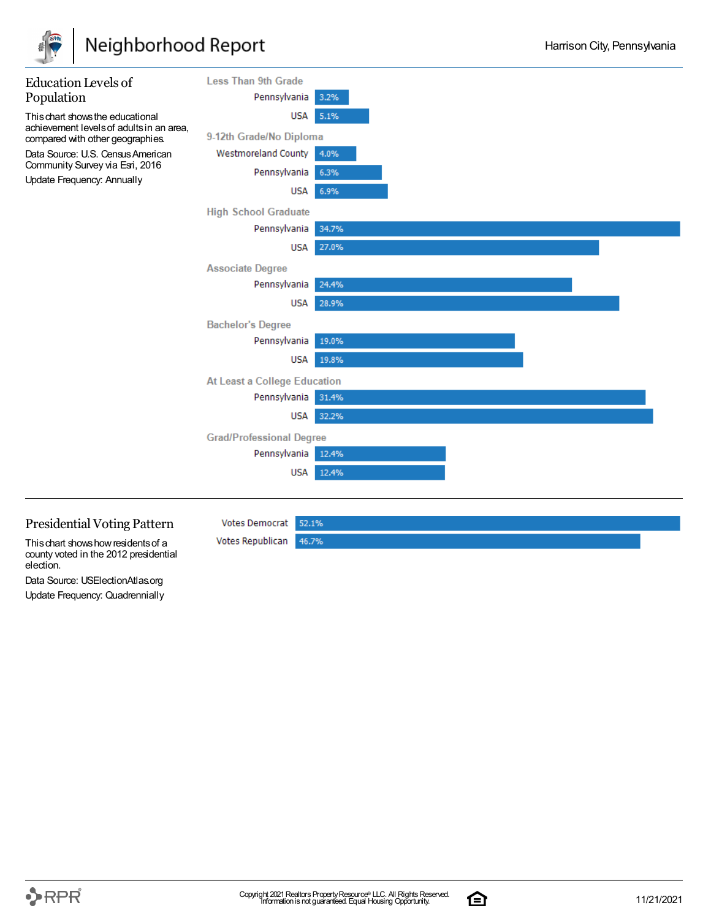

### Neighborhood Report



This chart shows how residents of a county voted in the 2012 presidential election.

Data Source: USElectionAtlas.org Update Frequency: Quadrennially

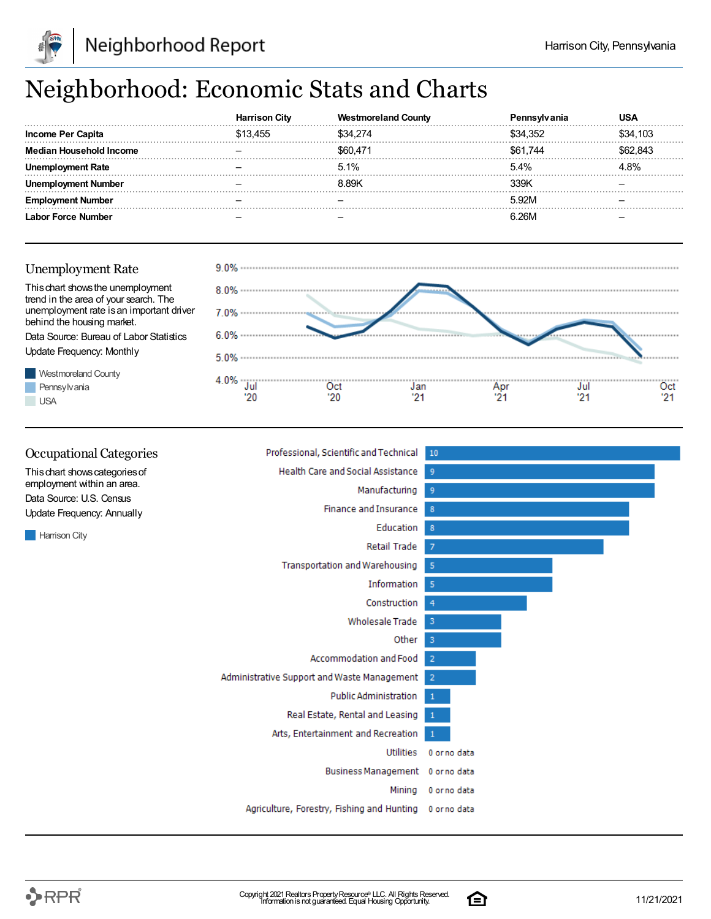

## Neighborhood: Economic Stats and Charts

|                                | City   | oreland Countv |          |          |
|--------------------------------|--------|----------------|----------|----------|
| Income Per Capita              | 13.455 | \$34.274       | \$34.352 | \$34,103 |
| <b>Median Household Income</b> |        | \$60.471       | S61.744  | .843     |
| Rate                           |        | 5.1%           | 5.4%     | L8%      |
| : Number                       |        | 8.89K          | 339K     |          |
| Number                         |        |                | 5.92M    |          |
| Force Number                   |        |                | R 2RM    |          |

### Unemployment Rate





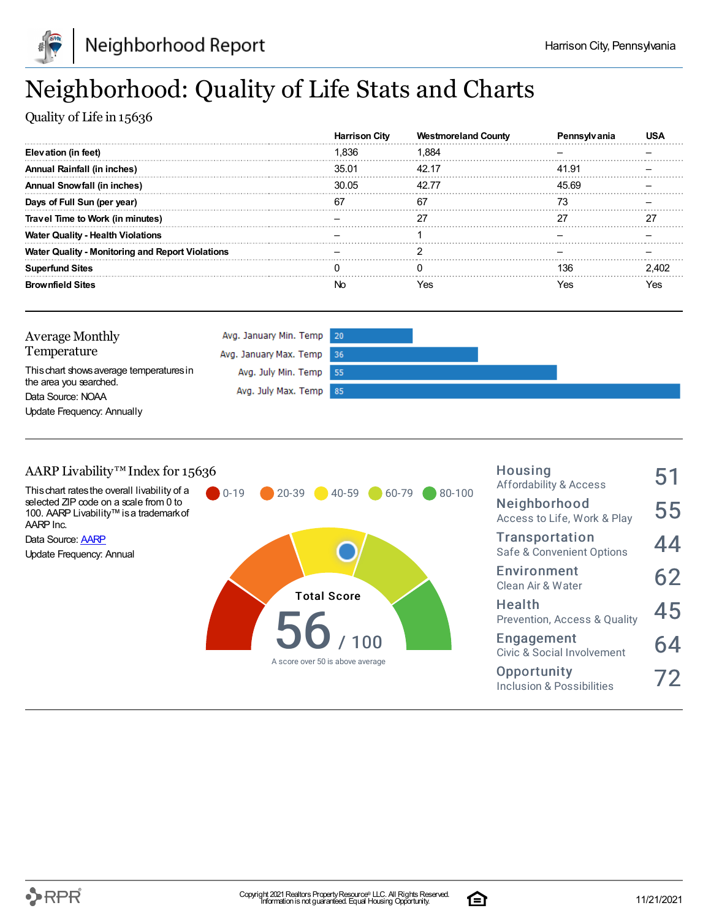

## Neighborhood: Quality of Life Stats and Charts

Quality of Life in 15636

|                                                         | <b>Harrison City</b> | <b>Westmoreland County</b> | Penns |     |
|---------------------------------------------------------|----------------------|----------------------------|-------|-----|
| Elevation (in feet)                                     | 1.836                | 1.884                      |       |     |
| <b>Annual Rainfall (in inches)</b>                      | 35.01                | 42.17                      | 41.91 |     |
| Annual Snowfall (in inches)                             | 30.05                | 42.77                      | 45.69 |     |
| Days of Full Sun (per year)                             | 67                   | 67                         |       |     |
| Travel Time to Work (in minutes)                        |                      |                            |       |     |
| <b>Water Quality - Health Violations</b>                |                      |                            |       |     |
| <b>Water Quality - Monitoring and Report Violations</b> |                      |                            |       |     |
| <b>Superfund Sites</b>                                  |                      |                            | 136   |     |
| <b>Brownfield Sites</b>                                 | NO.                  | Yes                        | res   | es? |